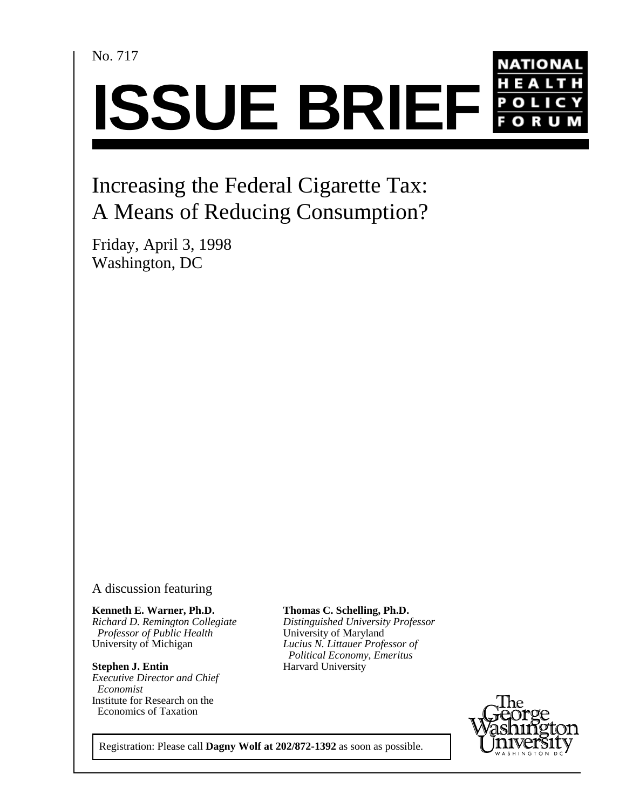No. 717



# Increasing the Federal Cigarette Tax: A Means of Reducing Consumption?

Friday, April 3, 1998 Washington, DC

### A discussion featuring

**Kenneth E. Warner, Ph.D.** *Professor of Public Health* University of Maryland<br>University of Michigan *Lucius N. Littauer Profe* 

**Stephen J. Entin** Harvard University *Executive Director and Chief Economist* Institute for Research on the Economics of Taxation

*Richard D. Remington Collegiate Distinguished University Professor* Lucius N. Littauer Professor of **Thomas C. Schelling, Ph.D.**  *Political Economy, Emeritus*



Registration: Please call **Dagny Wolf at 202/872-1392** as soon as possible.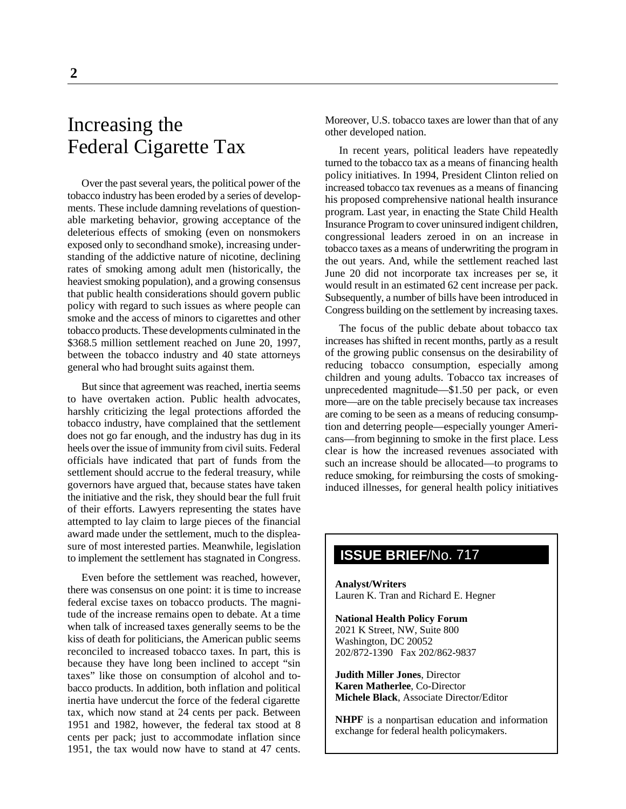# Increasing the Federal Cigarette Tax

Over the past several years, the political power of the tobacco industry has been eroded by a series of developments. These include damning revelations of questionable marketing behavior, growing acceptance of the deleterious effects of smoking (even on nonsmokers exposed only to secondhand smoke), increasing understanding of the addictive nature of nicotine, declining rates of smoking among adult men (historically, the heaviest smoking population), and a growing consensus that public health considerations should govern public policy with regard to such issues as where people can smoke and the access of minors to cigarettes and other tobacco products. These developments culminated in the \$368.5 million settlement reached on June 20, 1997, between the tobacco industry and 40 state attorneys general who had brought suits against them.

But since that agreement was reached, inertia seems to have overtaken action. Public health advocates, harshly criticizing the legal protections afforded the tobacco industry, have complained that the settlement does not go far enough, and the industry has dug in its heels over the issue of immunity from civil suits. Federal officials have indicated that part of funds from the settlement should accrue to the federal treasury, while governors have argued that, because states have taken the initiative and the risk, they should bear the full fruit of their efforts. Lawyers representing the states have attempted to lay claim to large pieces of the financial award made under the settlement, much to the displeasure of most interested parties. Meanwhile, legislation to implement the settlement has stagnated in Congress.

Even before the settlement was reached, however, there was consensus on one point: it is time to increase federal excise taxes on tobacco products. The magnitude of the increase remains open to debate. At a time when talk of increased taxes generally seems to be the kiss of death for politicians, the American public seems reconciled to increased tobacco taxes. In part, this is because they have long been inclined to accept "sin taxes" like those on consumption of alcohol and tobacco products. In addition, both inflation and political inertia have undercut the force of the federal cigarette tax, which now stand at 24 cents per pack. Between 1951 and 1982, however, the federal tax stood at 8 cents per pack; just to accommodate inflation since 1951, the tax would now have to stand at 47 cents.

Moreover, U.S. tobacco taxes are lower than that of any other developed nation.

In recent years, political leaders have repeatedly turned to the tobacco tax as a means of financing health policy initiatives. In 1994, President Clinton relied on increased tobacco tax revenues as a means of financing his proposed comprehensive national health insurance program. Last year, in enacting the State Child Health Insurance Program to cover uninsured indigent children, congressional leaders zeroed in on an increase in tobacco taxes as a means of underwriting the program in the out years. And, while the settlement reached last June 20 did not incorporate tax increases per se, it would result in an estimated 62 cent increase per pack. Subsequently, a number of bills have been introduced in Congress building on the settlement by increasing taxes.

The focus of the public debate about tobacco tax increases has shifted in recent months, partly as a result of the growing public consensus on the desirability of reducing tobacco consumption, especially among children and young adults. Tobacco tax increases of unprecedented magnitude—\$1.50 per pack, or even more—are on the table precisely because tax increases are coming to be seen as a means of reducing consumption and deterring people—especially younger Americans—from beginning to smoke in the first place. Less clear is how the increased revenues associated with such an increase should be allocated—to programs to reduce smoking, for reimbursing the costs of smokinginduced illnesses, for general health policy initiatives

## **ISSUE BRIEF**/No. 717

**Analyst/Writers** Lauren K. Tran and Richard E. Hegner

**National Health Policy Forum** 2021 K Street, NW, Suite 800 Washington, DC 20052 202/872-1390 Fax 202/862-9837

**Judith Miller Jones**, Director **Karen Matherlee**, Co-Director **Michele Black**, Associate Director/Editor

**NHPF** is a nonpartisan education and information exchange for federal health policymakers.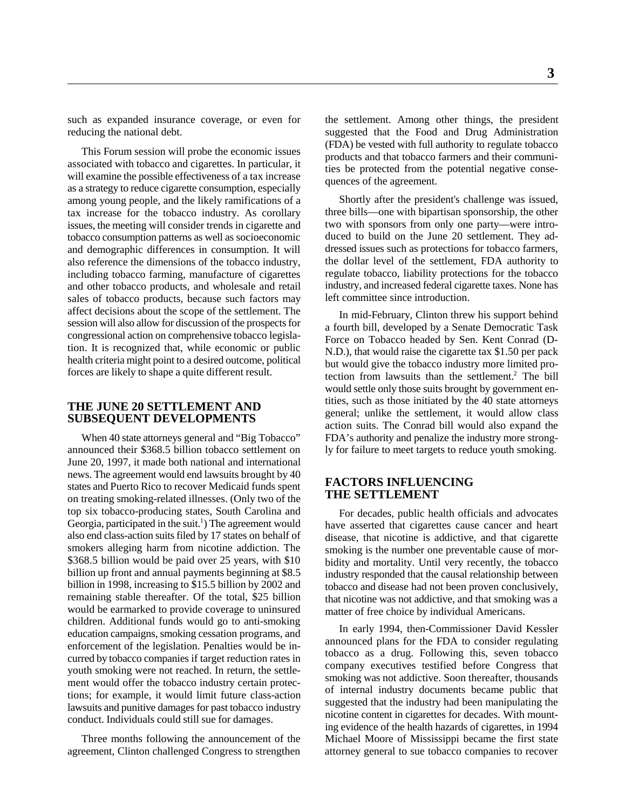reducing the national debt. suggested that the Food and Drug Administration

This Forum session will probe the economic issues associated with tobacco and cigarettes. In particular, it will examine the possible effectiveness of a tax increase as a strategy to reduce cigarette consumption, especially among young people, and the likely ramifications of a tax increase for the tobacco industry. As corollary issues, the meeting will consider trends in cigarette and tobacco consumption patterns as well as socioeconomic and demographic differences in consumption. It will also reference the dimensions of the tobacco industry, including tobacco farming, manufacture of cigarettes and other tobacco products, and wholesale and retail sales of tobacco products, because such factors may affect decisions about the scope of the settlement. The session will also allow for discussion of the prospects for congressional action on comprehensive tobacco legislation. It is recognized that, while economic or public health criteria might point to a desired outcome, political forces are likely to shape a quite different result.

#### **THE JUNE 20 SETTLEMENT AND SUBSEQUENT DEVELOPMENTS**

When 40 state attorneys general and "Big Tobacco" announced their \$368.5 billion tobacco settlement on June 20, 1997, it made both national and international news. The agreement would end lawsuits brought by 40 states and Puerto Rico to recover Medicaid funds spent on treating smoking-related illnesses. (Only two of the top six tobacco-producing states, South Carolina and Georgia, participated in the suit.<sup>1</sup>) The agreement would also end class-action suits filed by 17 states on behalf of smokers alleging harm from nicotine addiction. The \$368.5 billion would be paid over 25 years, with \$10 billion up front and annual payments beginning at \$8.5 billion in 1998, increasing to \$15.5 billion by 2002 and remaining stable thereafter. Of the total, \$25 billion would be earmarked to provide coverage to uninsured children. Additional funds would go to anti-smoking education campaigns, smoking cessation programs, and enforcement of the legislation. Penalties would be incurred by tobacco companies if target reduction rates in youth smoking were not reached. In return, the settlement would offer the tobacco industry certain protections; for example, it would limit future class-action lawsuits and punitive damages for past tobacco industry conduct. Individuals could still sue for damages.

Three months following the announcement of the agreement, Clinton challenged Congress to strengthen attorney general to sue tobacco companies to recover

such as expanded insurance coverage, or even for the settlement. Among other things, the president (FDA) be vested with full authority to regulate tobacco products and that tobacco farmers and their communities be protected from the potential negative consequences of the agreement.

> Shortly after the president's challenge was issued, three bills—one with bipartisan sponsorship, the other two with sponsors from only one party—were introduced to build on the June 20 settlement. They addressed issues such as protections for tobacco farmers, the dollar level of the settlement, FDA authority to regulate tobacco, liability protections for the tobacco industry, and increased federal cigarette taxes. None has left committee since introduction.

> In mid-February, Clinton threw his support behind a fourth bill, developed by a Senate Democratic Task Force on Tobacco headed by Sen. Kent Conrad (D-N.D.), that would raise the cigarette tax \$1.50 per pack but would give the tobacco industry more limited protection from lawsuits than the settlement.<sup>2</sup> The bill would settle only those suits brought by government entities, such as those initiated by the 40 state attorneys general; unlike the settlement, it would allow class action suits. The Conrad bill would also expand the FDA's authority and penalize the industry more strongly for failure to meet targets to reduce youth smoking.

#### **FACTORS INFLUENCING THE SETTLEMENT**

For decades, public health officials and advocates have asserted that cigarettes cause cancer and heart disease, that nicotine is addictive, and that cigarette smoking is the number one preventable cause of morbidity and mortality. Until very recently, the tobacco industry responded that the causal relationship between tobacco and disease had not been proven conclusively, that nicotine was not addictive, and that smoking was a matter of free choice by individual Americans.

In early 1994, then-Commissioner David Kessler announced plans for the FDA to consider regulating tobacco as a drug. Following this, seven tobacco company executives testified before Congress that smoking was not addictive. Soon thereafter, thousands of internal industry documents became public that suggested that the industry had been manipulating the nicotine content in cigarettes for decades. With mounting evidence of the health hazards of cigarettes, in 1994 Michael Moore of Mississippi became the first state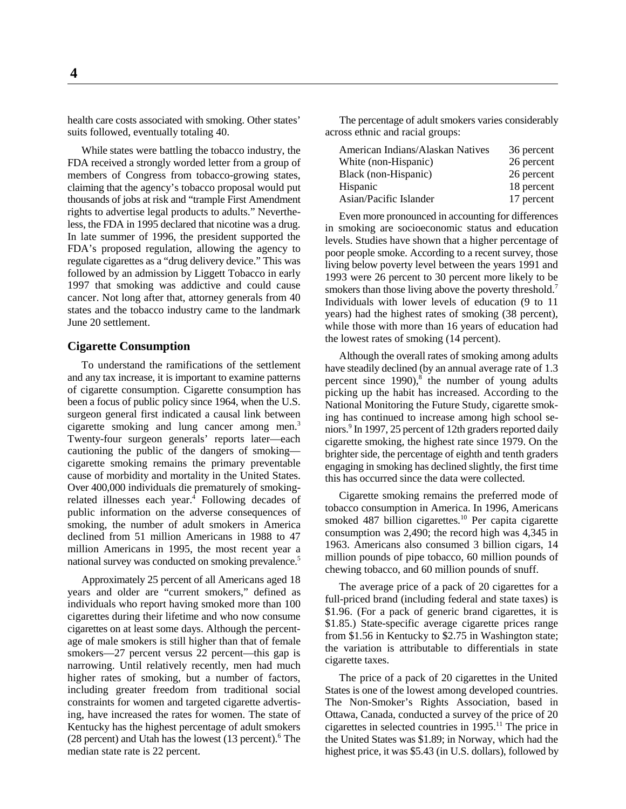health care costs associated with smoking. Other states' The percentage of adult smokers varies considerably suits followed, eventually totaling 40. According across ethnic and racial groups:

While states were battling the tobacco industry, the FDA received a strongly worded letter from a group of members of Congress from tobacco-growing states, claiming that the agency's tobacco proposal would put thousands of jobs at risk and "trample First Amendment rights to advertise legal products to adults." Nevertheless, the FDA in 1995 declared that nicotine was a drug. In late summer of 1996, the president supported the FDA's proposed regulation, allowing the agency to regulate cigarettes as a "drug delivery device." This was followed by an admission by Liggett Tobacco in early 1997 that smoking was addictive and could cause cancer. Not long after that, attorney generals from 40 states and the tobacco industry came to the landmark June 20 settlement.

#### **Cigarette Consumption**

To understand the ramifications of the settlement and any tax increase, it is important to examine patterns of cigarette consumption. Cigarette consumption has been a focus of public policy since 1964, when the U.S. surgeon general first indicated a causal link between cigarette smoking and lung cancer among men.3 Twenty-four surgeon generals' reports later—each cautioning the public of the dangers of smoking cigarette smoking remains the primary preventable cause of morbidity and mortality in the United States. Over 400,000 individuals die prematurely of smokingrelated illnesses each year. $\frac{4}{3}$  Following decades of public information on the adverse consequences of smoking, the number of adult smokers in America declined from 51 million Americans in 1988 to 47 million Americans in 1995, the most recent year a national survey was conducted on smoking prevalence.<sup>5</sup>

Approximately 25 percent of all Americans aged 18 years and older are "current smokers," defined as individuals who report having smoked more than 100 cigarettes during their lifetime and who now consume cigarettes on at least some days. Although the percentage of male smokers is still higher than that of female smokers—27 percent versus 22 percent—this gap is narrowing. Until relatively recently, men had much higher rates of smoking, but a number of factors, including greater freedom from traditional social constraints for women and targeted cigarette advertising, have increased the rates for women. The state of Kentucky has the highest percentage of adult smokers (28 percent) and Utah has the lowest  $(13$  percent).<sup>6</sup> The median state rate is 22 percent.

| American Indians/Alaskan Natives | 36 percent |
|----------------------------------|------------|
| White (non-Hispanic)             | 26 percent |
| Black (non-Hispanic)             | 26 percent |
| Hispanic                         | 18 percent |
| Asian/Pacific Islander           | 17 percent |

Even more pronounced in accounting for differences in smoking are socioeconomic status and education levels. Studies have shown that a higher percentage of poor people smoke. According to a recent survey, those living below poverty level between the years 1991 and 1993 were 26 percent to 30 percent more likely to be smokers than those living above the poverty threshold.<sup>7</sup> Individuals with lower levels of education (9 to 11 years) had the highest rates of smoking (38 percent), while those with more than 16 years of education had the lowest rates of smoking (14 percent).

Although the overall rates of smoking among adults have steadily declined (by an annual average rate of 1.3 percent since  $1990$ <sup>8</sup>, the number of young adults picking up the habit has increased. According to the National Monitoring the Future Study, cigarette smoking has continued to increase among high school seniors.<sup>9</sup> In 1997, 25 percent of 12th graders reported daily cigarette smoking, the highest rate since 1979. On the brighter side, the percentage of eighth and tenth graders engaging in smoking has declined slightly, the first time this has occurred since the data were collected.

Cigarette smoking remains the preferred mode of tobacco consumption in America. In 1996, Americans smoked 487 billion cigarettes.<sup>10</sup> Per capita cigarette consumption was 2,490; the record high was 4,345 in 1963. Americans also consumed 3 billion cigars, 14 million pounds of pipe tobacco, 60 million pounds of chewing tobacco, and 60 million pounds of snuff.

The average price of a pack of 20 cigarettes for a full-priced brand (including federal and state taxes) is \$1.96. (For a pack of generic brand cigarettes, it is \$1.85.) State-specific average cigarette prices range from \$1.56 in Kentucky to \$2.75 in Washington state; the variation is attributable to differentials in state cigarette taxes.

The price of a pack of 20 cigarettes in the United States is one of the lowest among developed countries. The Non-Smoker's Rights Association, based in Ottawa, Canada, conducted a survey of the price of 20 cigarettes in selected countries in  $1995$ .<sup>11</sup> The price in the United States was \$1.89; in Norway, which had the highest price, it was \$5.43 (in U.S. dollars), followed by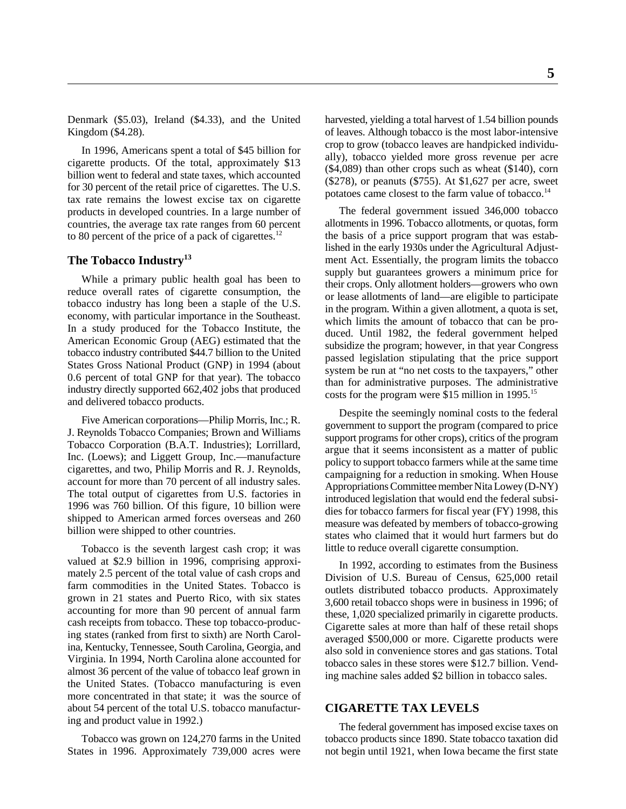Kingdom (\$4.28). The most labor-intensive of leaves. Although tobacco is the most labor-intensive

In 1996, Americans spent a total of \$45 billion for cigarette products. Of the total, approximately \$13 billion went to federal and state taxes, which accounted for 30 percent of the retail price of cigarettes. The U.S. tax rate remains the lowest excise tax on cigarette products in developed countries. In a large number of countries, the average tax rate ranges from 60 percent to 80 percent of the price of a pack of cigarettes. $12$ 

### **The Tobacco Industry13**

While a primary public health goal has been to reduce overall rates of cigarette consumption, the tobacco industry has long been a staple of the U.S. economy, with particular importance in the Southeast. In a study produced for the Tobacco Institute, the American Economic Group (AEG) estimated that the tobacco industry contributed \$44.7 billion to the United States Gross National Product (GNP) in 1994 (about 0.6 percent of total GNP for that year). The tobacco industry directly supported 662,402 jobs that produced and delivered tobacco products.

Five American corporations—Philip Morris, Inc.; R. J. Reynolds Tobacco Companies; Brown and Williams Tobacco Corporation (B.A.T. Industries); Lorrillard, Inc. (Loews); and Liggett Group, Inc.—manufacture cigarettes, and two, Philip Morris and R. J. Reynolds, account for more than 70 percent of all industry sales. The total output of cigarettes from U.S. factories in 1996 was 760 billion. Of this figure, 10 billion were shipped to American armed forces overseas and 260 billion were shipped to other countries.

Tobacco is the seventh largest cash crop; it was valued at \$2.9 billion in 1996, comprising approximately 2.5 percent of the total value of cash crops and farm commodities in the United States. Tobacco is grown in 21 states and Puerto Rico, with six states accounting for more than 90 percent of annual farm cash receipts from tobacco. These top tobacco-producing states (ranked from first to sixth) are North Carolina, Kentucky, Tennessee, South Carolina, Georgia, and Virginia. In 1994, North Carolina alone accounted for almost 36 percent of the value of tobacco leaf grown in the United States. (Tobacco manufacturing is even more concentrated in that state; it was the source of about 54 percent of the total U.S. tobacco manufacturing and product value in 1992.)

Tobacco was grown on 124,270 farms in the United States in 1996. Approximately 739,000 acres were

Denmark (\$5.03), Ireland (\$4.33), and the United harvested, yielding a total harvest of 1.54 billion pounds crop to grow (tobacco leaves are handpicked individually), tobacco yielded more gross revenue per acre (\$4,089) than other crops such as wheat (\$140), corn (\$278), or peanuts (\$755). At \$1,627 per acre, sweet potatoes came closest to the farm value of tobacco.<sup>14</sup>

> The federal government issued 346,000 tobacco allotments in 1996. Tobacco allotments, or quotas, form the basis of a price support program that was established in the early 1930s under the Agricultural Adjustment Act. Essentially, the program limits the tobacco supply but guarantees growers a minimum price for their crops. Only allotment holders—growers who own or lease allotments of land—are eligible to participate in the program. Within a given allotment, a quota is set, which limits the amount of tobacco that can be produced. Until 1982, the federal government helped subsidize the program; however, in that year Congress passed legislation stipulating that the price support system be run at "no net costs to the taxpayers," other than for administrative purposes. The administrative costs for the program were \$15 million in 1995.<sup>15</sup>

> Despite the seemingly nominal costs to the federal government to support the program (compared to price support programs for other crops), critics of the program argue that it seems inconsistent as a matter of public policy to support tobacco farmers while at the same time campaigning for a reduction in smoking. When House Appropriations Committee member Nita Lowey (D-NY) introduced legislation that would end the federal subsidies for tobacco farmers for fiscal year (FY) 1998, this measure was defeated by members of tobacco-growing states who claimed that it would hurt farmers but do little to reduce overall cigarette consumption.

> In 1992, according to estimates from the Business Division of U.S. Bureau of Census, 625,000 retail outlets distributed tobacco products. Approximately 3,600 retail tobacco shops were in business in 1996; of these, 1,020 specialized primarily in cigarette products. Cigarette sales at more than half of these retail shops averaged \$500,000 or more. Cigarette products were also sold in convenience stores and gas stations. Total tobacco sales in these stores were \$12.7 billion. Vending machine sales added \$2 billion in tobacco sales.

#### **CIGARETTE TAX LEVELS**

The federal government has imposed excise taxes on tobacco products since 1890. State tobacco taxation did not begin until 1921, when Iowa became the first state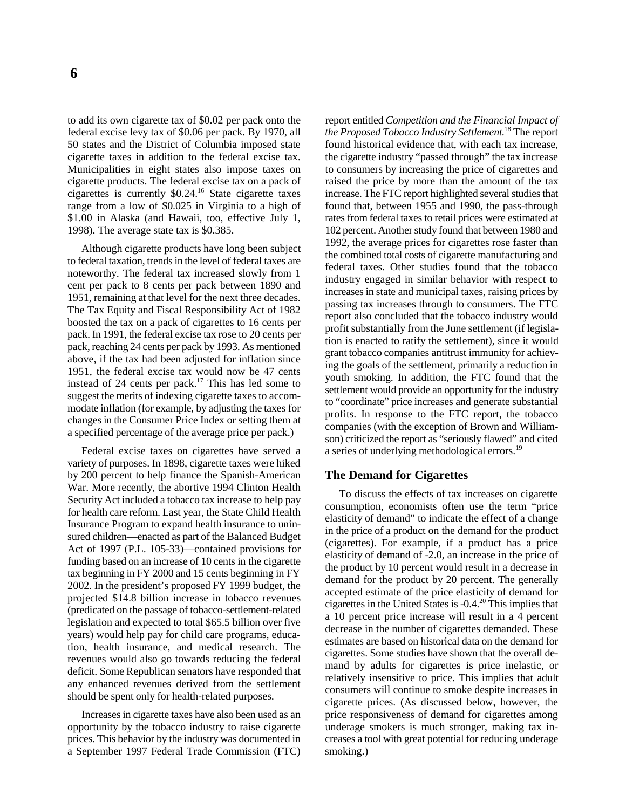federal excise levy tax of \$0.06 per pack. By 1970, all *the Proposed Tobacco Industry Settlement*. The report 18 50 states and the District of Columbia imposed state found historical evidence that, with each tax increase, cigarette taxes in addition to the federal excise tax. the cigarette industry "passed through" the tax increase Municipalities in eight states also impose taxes on to consumers by increasing the price of cigarettes and cigarette products. The federal excise tax on a pack of raised the price by more than the amount of the tax cigarettes is currently  $$0.24$ .<sup>16</sup> State cigarette taxes increase. The FTC report highlighted several studies that range from a low of \$0.025 in Virginia to a high of found that, between 1955 and 1990, the pass-through \$1.00 in Alaska (and Hawaii, too, effective July 1, rates from federal taxes to retail prices were estimated at 1998). The average state tax is \$0.385. 102 percent. Another study found that between 1980 and

Although cigarette products have long been subject to federal taxation, trends in the level of federal taxes are noteworthy. The federal tax increased slowly from 1 cent per pack to 8 cents per pack between 1890 and 1951, remaining at that level for the next three decades. The Tax Equity and Fiscal Responsibility Act of 1982 boosted the tax on a pack of cigarettes to 16 cents per pack. In 1991, the federal excise tax rose to 20 cents per pack, reaching 24 cents per pack by 1993. As mentioned above, if the tax had been adjusted for inflation since 1951, the federal excise tax would now be 47 cents instead of 24 cents per pack.<sup>17</sup> This has led some to suggest the merits of indexing cigarette taxes to accommodate inflation (for example, by adjusting the taxes for changes in the Consumer Price Index or setting them at a specified percentage of the average price per pack.)

Federal excise taxes on cigarettes have served a variety of purposes. In 1898, cigarette taxes were hiked by 200 percent to help finance the Spanish-American War. More recently, the abortive 1994 Clinton Health Security Act included a tobacco tax increase to help pay for health care reform. Last year, the State Child Health Insurance Program to expand health insurance to uninsured children—enacted as part of the Balanced Budget Act of 1997 (P.L. 105-33)—contained provisions for funding based on an increase of 10 cents in the cigarette tax beginning in FY 2000 and 15 cents beginning in FY 2002. In the president's proposed FY 1999 budget, the projected \$14.8 billion increase in tobacco revenues (predicated on the passage of tobacco-settlement-related legislation and expected to total \$65.5 billion over five years) would help pay for child care programs, education, health insurance, and medical research. The revenues would also go towards reducing the federal deficit. Some Republican senators have responded that any enhanced revenues derived from the settlement should be spent only for health-related purposes.

Increases in cigarette taxes have also been used as an a September 1997 Federal Trade Commission (FTC) smoking.)

to add its own cigarette tax of \$0.02 per pack onto the report entitled *Competition and the Financial Impact of* 1992, the average prices for cigarettes rose faster than the combined total costs of cigarette manufacturing and federal taxes. Other studies found that the tobacco industry engaged in similar behavior with respect to increases in state and municipal taxes, raising prices by passing tax increases through to consumers. The FTC report also concluded that the tobacco industry would profit substantially from the June settlement (if legislation is enacted to ratify the settlement), since it would grant tobacco companies antitrust immunity for achieving the goals of the settlement, primarily a reduction in youth smoking. In addition, the FTC found that the settlement would provide an opportunity for the industry to "coordinate" price increases and generate substantial profits. In response to the FTC report, the tobacco companies (with the exception of Brown and Williamson) criticized the report as "seriously flawed" and cited a series of underlying methodological errors.<sup>19</sup>

#### **The Demand for Cigarettes**

opportunity by the tobacco industry to raise cigarette underage smokers is much stronger, making tax inprices. This behavior by the industry was documented in creases a tool with great potential for reducing underage To discuss the effects of tax increases on cigarette consumption, economists often use the term "price elasticity of demand" to indicate the effect of a change in the price of a product on the demand for the product (cigarettes). For example, if a product has a price elasticity of demand of -2.0, an increase in the price of the product by 10 percent would result in a decrease in demand for the product by 20 percent. The generally accepted estimate of the price elasticity of demand for cigarettes in the United States is  $-0.4<sup>20</sup>$  This implies that a 10 percent price increase will result in a 4 percent decrease in the number of cigarettes demanded. These estimates are based on historical data on the demand for cigarettes. Some studies have shown that the overall demand by adults for cigarettes is price inelastic, or relatively insensitive to price. This implies that adult consumers will continue to smoke despite increases in cigarette prices. (As discussed below, however, the price responsiveness of demand for cigarettes among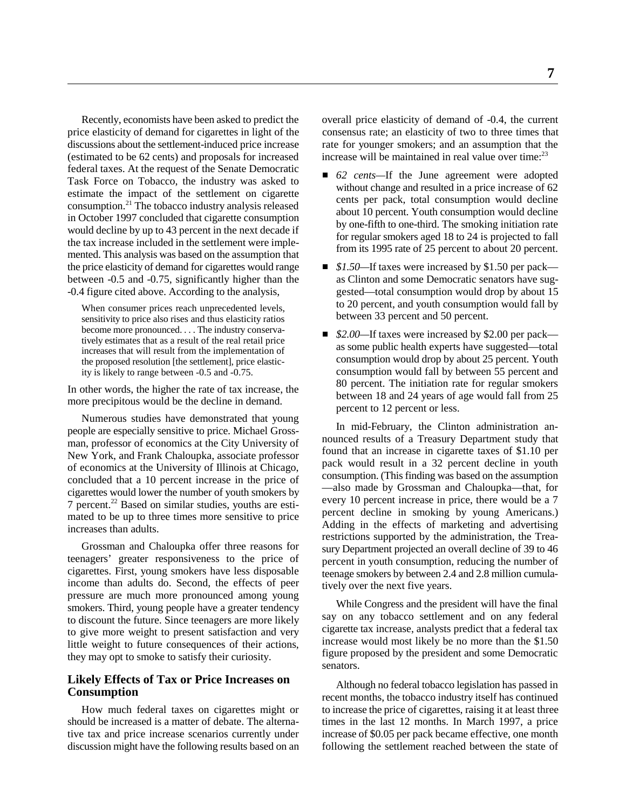(estimated to be 62 cents) and proposals for increased federal taxes. At the request of the Senate Democratic Task Force on Tobacco, the industry was asked to estimate the impact of the settlement on cigarette consumption. $21$  The tobacco industry analysis released in October 1997 concluded that cigarette consumption would decline by up to 43 percent in the next decade if the tax increase included in the settlement were implemented. This analysis was based on the assumption that the price elasticity of demand for cigarettes would range *\$1.50—*If taxes were increased by \$1.50 per pack—

When consumer prices reach unprecedented levels, sensitivity to price also rises and thus elasticity ratios become more pronounced. . . . The industry conservatively estimates that as a result of the real retail price increases that will result from the implementation of the proposed resolution [the settlement], price elasticity is likely to range between -0.5 and -0.75.

In other words, the higher the rate of tax increase, the more precipitous would be the decline in demand.

Numerous studies have demonstrated that young people are especially sensitive to price. Michael Grossman, professor of economics at the City University of New York, and Frank Chaloupka, associate professor of economics at the University of Illinois at Chicago, concluded that a 10 percent increase in the price of cigarettes would lower the number of youth smokers by  $\overline{7}$  percent.<sup>22</sup> Based on similar studies, youths are estimated to be up to three times more sensitive to price increases than adults.

Grossman and Chaloupka offer three reasons for teenagers' greater responsiveness to the price of cigarettes. First, young smokers have less disposable income than adults do. Second, the effects of peer pressure are much more pronounced among young smokers. Third, young people have a greater tendency to discount the future. Since teenagers are more likely to give more weight to present satisfaction and very little weight to future consequences of their actions, they may opt to smoke to satisfy their curiosity.

#### **Likely Effects of Tax or Price Increases on Consumption**

How much federal taxes on cigarettes might or should be increased is a matter of debate. The alternative tax and price increase scenarios currently under discussion might have the following results based on an

Recently, economists have been asked to predict the overall price elasticity of demand of -0.4, the current price elasticity of demand for cigarettes in light of the consensus rate; an elasticity of two to three times that discussions about the settlement-induced price increase rate for younger smokers; and an assumption that the increase will be maintained in real value over time:<sup>23</sup>

- 62 *cents*—If the June agreement were adopted without change and resulted in a price increase of 62 cents per pack, total consumption would decline about 10 percent. Youth consumption would decline by one-fifth to one-third. The smoking initiation rate for regular smokers aged 18 to 24 is projected to fall from its 1995 rate of 25 percent to about 20 percent.
- between -0.5 and -0.75, significantly higher than the as Clinton and some Democratic senators have sug- -0.4 figure cited above. According to the analysis, gested—total consumption would drop by about 15 to 20 percent, and youth consumption would fall by between 33 percent and 50 percent.
	- *\$2.00—If taxes were increased by \$2.00 per pack* as some public health experts have suggested—total consumption would drop by about 25 percent. Youth consumption would fall by between 55 percent and 80 percent. The initiation rate for regular smokers between 18 and 24 years of age would fall from 25 percent to 12 percent or less.

In mid-February, the Clinton administration announced results of a Treasury Department study that found that an increase in cigarette taxes of \$1.10 per pack would result in a 32 percent decline in youth consumption. (This finding was based on the assumption —also made by Grossman and Chaloupka—that, for every 10 percent increase in price, there would be a 7 percent decline in smoking by young Americans.) Adding in the effects of marketing and advertising restrictions supported by the administration, the Treasury Department projected an overall decline of 39 to 46 percent in youth consumption, reducing the number of teenage smokers by between 2.4 and 2.8 million cumulatively over the next five years.

While Congress and the president will have the final say on any tobacco settlement and on any federal cigarette tax increase, analysts predict that a federal tax increase would most likely be no more than the \$1.50 figure proposed by the president and some Democratic senators.

Although no federal tobacco legislation has passed in recent months, the tobacco industry itself has continued to increase the price of cigarettes, raising it at least three times in the last 12 months. In March 1997, a price increase of \$0.05 per pack became effective, one month following the settlement reached between the state of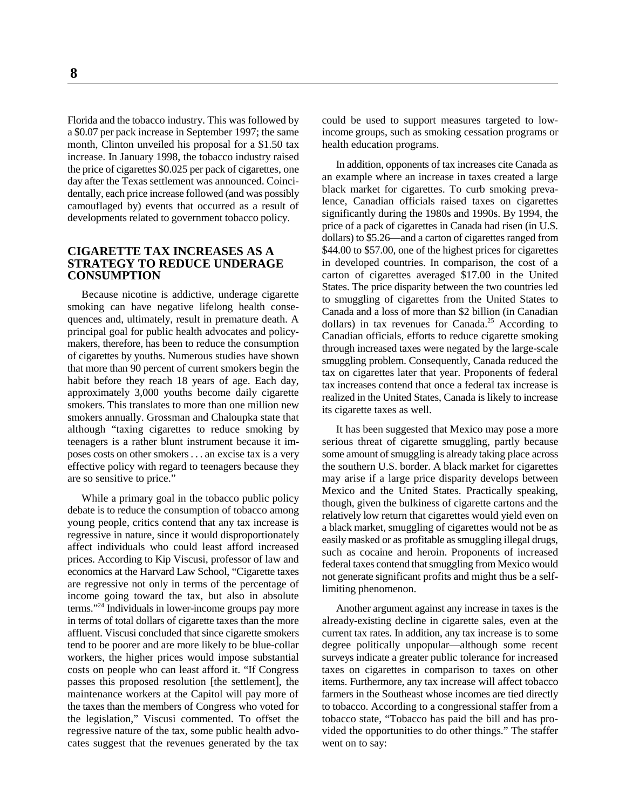month, Clinton unveiled his proposal for a \$1.50 tax health education programs. increase. In January 1998, the tobacco industry raised the price of cigarettes \$0.025 per pack of cigarettes, one day after the Texas settlement was announced. Coincidentally, each price increase followed (and was possibly camouflaged by) events that occurred as a result of developments related to government tobacco policy.

#### **CIGARETTE TAX INCREASES AS A STRATEGY TO REDUCE UNDERAGE CONSUMPTION**

Because nicotine is addictive, underage cigarette smoking can have negative lifelong health consequences and, ultimately, result in premature death. A principal goal for public health advocates and policymakers, therefore, has been to reduce the consumption of cigarettes by youths. Numerous studies have shown that more than 90 percent of current smokers begin the habit before they reach 18 years of age. Each day, approximately 3,000 youths become daily cigarette smokers. This translates to more than one million new smokers annually. Grossman and Chaloupka state that although "taxing cigarettes to reduce smoking by

While a primary goal in the tobacco public policy debate is to reduce the consumption of tobacco among young people, critics contend that any tax increase is regressive in nature, since it would disproportionately affect individuals who could least afford increased prices. According to Kip Viscusi, professor of law and economics at the Harvard Law School, "Cigarette taxes are regressive not only in terms of the percentage of income going toward the tax, but also in absolute  $terms.$ <sup>24</sup> Individuals in lower-income groups pay more cates suggest that the revenues generated by the tax went on to say:

Florida and the tobacco industry. This was followed by could be used to support measures targeted to lowa \$0.07 per pack increase in September 1997; the same income groups, such as smoking cessation programs or

> In addition, opponents of tax increases cite Canada as an example where an increase in taxes created a large black market for cigarettes. To curb smoking prevalence, Canadian officials raised taxes on cigarettes significantly during the 1980s and 1990s. By 1994, the price of a pack of cigarettes in Canada had risen (in U.S. dollars) to \$5.26—and a carton of cigarettes ranged from \$44.00 to \$57.00, one of the highest prices for cigarettes in developed countries. In comparison, the cost of a carton of cigarettes averaged \$17.00 in the United States. The price disparity between the two countries led to smuggling of cigarettes from the United States to Canada and a loss of more than \$2 billion (in Canadian dollars) in tax revenues for Canada.<sup>25</sup> According to Canadian officials, efforts to reduce cigarette smoking through increased taxes were negated by the large-scale smuggling problem. Consequently, Canada reduced the tax on cigarettes later that year. Proponents of federal tax increases contend that once a federal tax increase is realized in the United States, Canada is likely to increase its cigarette taxes as well.

teenagers is a rather blunt instrument because it im- serious threat of cigarette smuggling, partly because poses costs on other smokers . . . an excise tax is a very some amount of smuggling is already taking place across effective policy with regard to teenagers because they the southern U.S. border. A black market for cigarettes are so sensitive to price." The southern arise if a large price disparity develops between may arise if a large price disparity develops between It has been suggested that Mexico may pose a more Mexico and the United States. Practically speaking, though, given the bulkiness of cigarette cartons and the relatively low return that cigarettes would yield even on a black market, smuggling of cigarettes would not be as easily masked or as profitable as smuggling illegal drugs, such as cocaine and heroin. Proponents of increased federal taxes contend that smuggling from Mexico would not generate significant profits and might thus be a selflimiting phenomenon.

in terms of total dollars of cigarette taxes than the more already-existing decline in cigarette sales, even at the affluent. Viscusi concluded that since cigarette smokers current tax rates. In addition, any tax increase is to some tend to be poorer and are more likely to be blue-collar degree politically unpopular—although some recent workers, the higher prices would impose substantial surveys indicate a greater public tolerance for increased costs on people who can least afford it. "If Congress taxes on cigarettes in comparison to taxes on other passes this proposed resolution [the settlement], the items. Furthermore, any tax increase will affect tobacco maintenance workers at the Capitol will pay more of farmers in the Southeast whose incomes are tied directly the taxes than the members of Congress who voted for to tobacco. According to a congressional staffer from a the legislation," Viscusi commented. To offset the tobacco state, "Tobacco has paid the bill and has proregressive nature of the tax, some public health advo- vided the opportunities to do other things." The staffer Another argument against any increase in taxes is the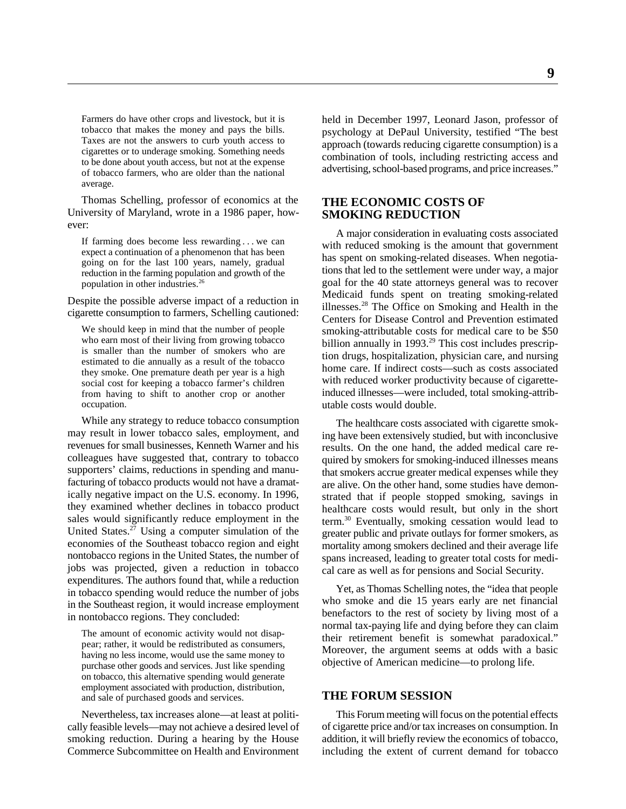Farmers do have other crops and livestock, but it is tobacco that makes the money and pays the bills. Taxes are not the answers to curb youth access to cigarettes or to underage smoking. Something needs to be done about youth access, but not at the expense of tobacco farmers, who are older than the national average.

Thomas Schelling, professor of economics at the University of Maryland, wrote in a 1986 paper, however:

If farming does become less rewarding . . . we can expect a continuation of a phenomenon that has been going on for the last 100 years, namely, gradual reduction in the farming population and growth of the population in other industries.26

Despite the possible adverse impact of a reduction in cigarette consumption to farmers, Schelling cautioned:

We should keep in mind that the number of people who earn most of their living from growing tobacco is smaller than the number of smokers who are estimated to die annually as a result of the tobacco they smoke. One premature death per year is a high social cost for keeping a tobacco farmer's children from having to shift to another crop or another occupation.

While any strategy to reduce tobacco consumption may result in lower tobacco sales, employment, and revenues for small businesses, Kenneth Warner and his colleagues have suggested that, contrary to tobacco supporters' claims, reductions in spending and manufacturing of tobacco products would not have a dramatically negative impact on the U.S. economy. In 1996, they examined whether declines in tobacco product sales would significantly reduce employment in the United States.<sup>27</sup> Using a computer simulation of the economies of the Southeast tobacco region and eight nontobacco regions in the United States, the number of jobs was projected, given a reduction in tobacco expenditures. The authors found that, while a reduction in tobacco spending would reduce the number of jobs in the Southeast region, it would increase employment in nontobacco regions. They concluded:

The amount of economic activity would not disappear; rather, it would be redistributed as consumers, having no less income, would use the same money to purchase other goods and services. Just like spending on tobacco, this alternative spending would generate employment associated with production, distribution, and sale of purchased goods and services.

Nevertheless, tax increases alone—at least at politically feasible levels—may not achieve a desired level of smoking reduction. During a hearing by the House Commerce Subcommittee on Health and Environment

held in December 1997, Leonard Jason, professor of psychology at DePaul University, testified "The best approach (towards reducing cigarette consumption) is a combination of tools, including restricting access and advertising, school-based programs, and price increases."

#### **THE ECONOMIC COSTS OF SMOKING REDUCTION**

A major consideration in evaluating costs associated with reduced smoking is the amount that government has spent on smoking-related diseases. When negotiations that led to the settlement were under way, a major goal for the 40 state attorneys general was to recover Medicaid funds spent on treating smoking-related illnesses. $28$  The Office on Smoking and Health in the Centers for Disease Control and Prevention estimated smoking-attributable costs for medical care to be \$50 billion annually in 1993. $29$  This cost includes prescription drugs, hospitalization, physician care, and nursing home care. If indirect costs—such as costs associated with reduced worker productivity because of cigaretteinduced illnesses—were included, total smoking-attributable costs would double.

The healthcare costs associated with cigarette smoking have been extensively studied, but with inconclusive results. On the one hand, the added medical care required by smokers for smoking-induced illnesses means that smokers accrue greater medical expenses while they are alive. On the other hand, some studies have demonstrated that if people stopped smoking, savings in healthcare costs would result, but only in the short term.<sup>30</sup> Eventually, smoking cessation would lead to greater public and private outlays for former smokers, as mortality among smokers declined and their average life spans increased, leading to greater total costs for medical care as well as for pensions and Social Security.

Yet, as Thomas Schelling notes, the "idea that people who smoke and die 15 years early are net financial benefactors to the rest of society by living most of a normal tax-paying life and dying before they can claim their retirement benefit is somewhat paradoxical." Moreover, the argument seems at odds with a basic objective of American medicine—to prolong life.

#### **THE FORUM SESSION**

This Forum meeting will focus on the potential effects of cigarette price and/or tax increases on consumption. In addition, it will briefly review the economics of tobacco, including the extent of current demand for tobacco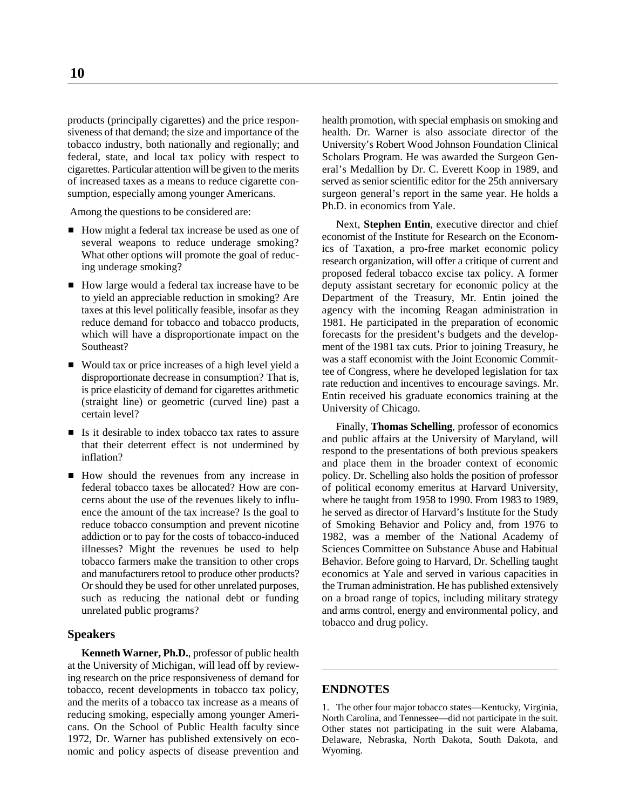products (principally cigarettes) and the price respon- health promotion, with special emphasis on smoking and

Among the questions to be considered are:

- How might a federal tax increase be used as one of several weapons to reduce underage smoking? What other options will promote the goal of reducing underage smoking?
- How large would a federal tax increase have to be
- Would tax or price increases of a high level yield a disproportionate decrease in consumption? That is, is price elasticity of demand for cigarettes arithmetic (straight line) or geometric (curved line) past a certain level?
- If Is it desirable to index to bacco tax rates to assure that their deterrent effect is not undermined by inflation?
- How should the revenues from any increase in

### **Speakers**

**Kenneth Warner, Ph.D.**, professor of public health at the University of Michigan, will lead off by reviewing research on the price responsiveness of demand for tobacco, recent developments in tobacco tax policy, **ENDNOTES** and the merits of a tobacco tax increase as a means of reducing smoking, especially among younger Americans. On the School of Public Health faculty since 1972, Dr. Warner has published extensively on economic and policy aspects of disease prevention and

siveness of that demand; the size and importance of the health. Dr. Warner is also associate director of the tobacco industry, both nationally and regionally; and University's Robert Wood Johnson Foundation Clinical federal, state, and local tax policy with respect to Scholars Program. He was awarded the Surgeon Gen-<br>cigarettes. Particular attention will be given to the merits eral's Medallion by Dr. C. Everett Koop in 1989, and eral's Medallion by Dr. C. Everett Koop in 1989, and of increased taxes as a means to reduce cigarette con- served as senior scientific editor for the 25th anniversary sumption, especially among younger Americans. Surgeon general's report in the same year. He holds a Ph.D. in economics from Yale.

deputy assistant secretary for economic policy at the to yield an appreciable reduction in smoking? Are Department of the Treasury, Mr. Entin joined the taxes at this level politically feasible, insofar as they agency with the incoming Reagan administration in reduce demand for tobacco and tobacco products, 1981. He participated in the preparation of economic which will have a disproportionate impact on the forecasts for the president's budgets and the develop-<br>Southeast?<br>Southeast? ment of the 1981 tax cuts. Prior to joining Treasury, he Next, **Stephen Entin**, executive director and chief economist of the Institute for Research on the Economics of Taxation, a pro-free market economic policy research organization, will offer a critique of current and proposed federal tobacco excise tax policy. A former was a staff economist with the Joint Economic Committee of Congress, where he developed legislation for tax rate reduction and incentives to encourage savings. Mr. Entin received his graduate economics training at the University of Chicago.

policy. Dr. Schelling also holds the position of professor federal tobacco taxes be allocated? How are con- of political economy emeritus at Harvard University, cerns about the use of the revenues likely to influ- where he taught from 1958 to 1990. From 1983 to 1989, ence the amount of the tax increase? Is the goal to he served as director of Harvard's Institute for the Study reduce tobacco consumption and prevent nicotine of Smoking Behavior and Policy and, from 1976 to addiction or to pay for the costs of tobacco-induced 1982, was a member of the National Academy of illnesses? Might the revenues be used to help Sciences Committee on Substance Abuse and Habitual tobacco farmers make the transition to other crops<br>and manufacturers retool to produce other products?<br>Behavior. Before going to Harvard, Dr. Schelling taught<br>and manufacturers retool to produce other products?<br>conomics at economics at Yale and served in various capacities in Or should they be used for other unrelated purposes, the Truman administration. He has published extensively such as reducing the national debt or funding on a broad range of topics, including military strategy unrelated public programs? and arms control, energy and environmental policy, and tobacco and drug policy. Finally, **Thomas Schelling**, professor of economics and public affairs at the University of Maryland, will respond to the presentations of both previous speakers and place them in the broader context of economic

1. The other four major tobacco states—Kentucky, Virginia, North Carolina, and Tennessee—did not participate in the suit. Other states not participating in the suit were Alabama, Delaware, Nebraska, North Dakota, South Dakota, and Wyoming.